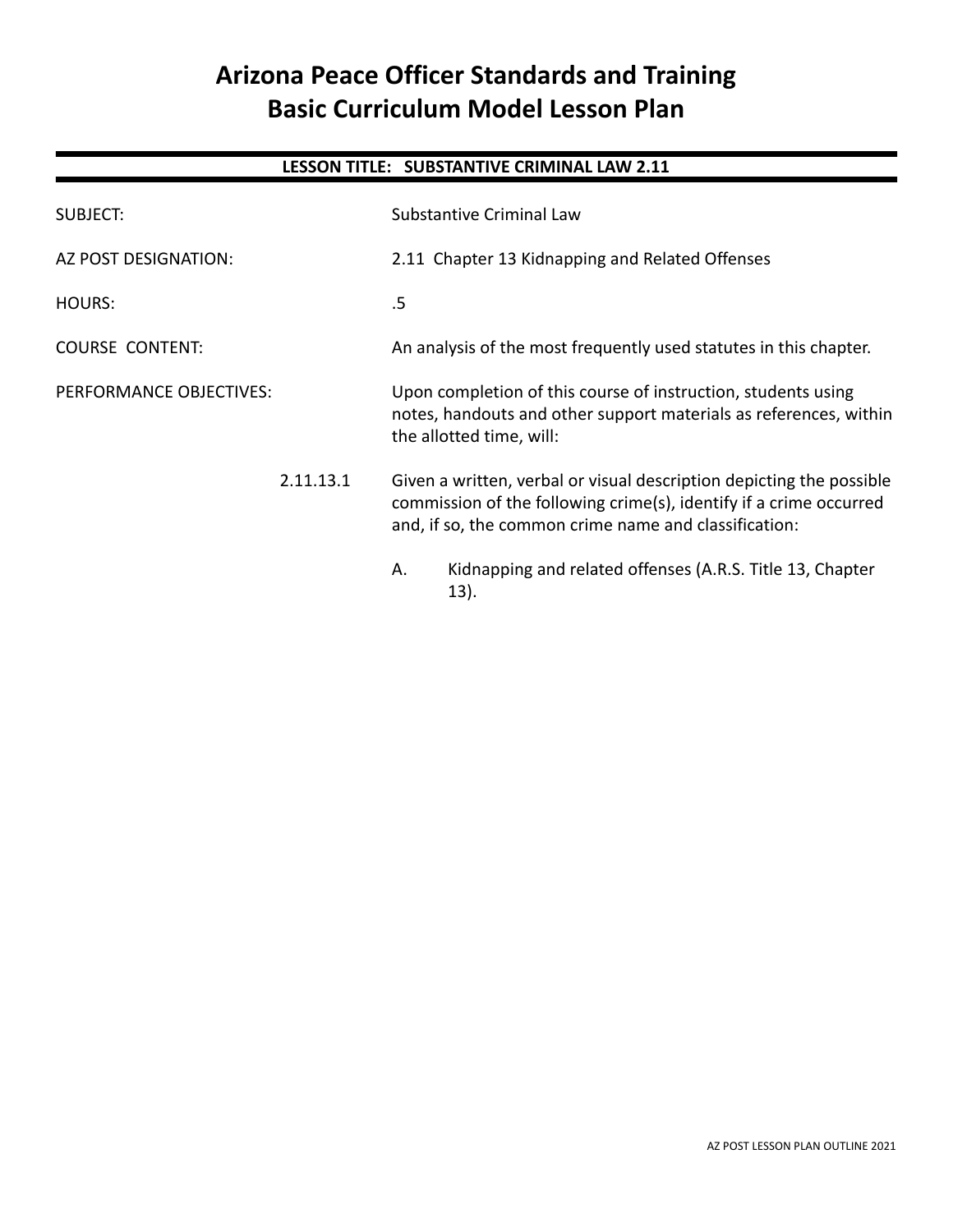# **Arizona Peace Officer Standards and Training Basic Curriculum Model Lesson Plan**

# **LESSON TITLE: SUBSTANTIVE CRIMINAL LAW 2.11**

| SUBJECT:                | Substantive Criminal Law                                                                                                                                                                            |  |
|-------------------------|-----------------------------------------------------------------------------------------------------------------------------------------------------------------------------------------------------|--|
| AZ POST DESIGNATION:    | 2.11 Chapter 13 Kidnapping and Related Offenses                                                                                                                                                     |  |
| <b>HOURS:</b>           | .5                                                                                                                                                                                                  |  |
| <b>COURSE CONTENT:</b>  | An analysis of the most frequently used statutes in this chapter.                                                                                                                                   |  |
| PERFORMANCE OBJECTIVES: | Upon completion of this course of instruction, students using<br>notes, handouts and other support materials as references, within<br>the allotted time, will:                                      |  |
| 2.11.13.1               | Given a written, verbal or visual description depicting the possible<br>commission of the following crime(s), identify if a crime occurred<br>and, if so, the common crime name and classification: |  |
|                         | Kidnapping and related offenses (A.R.S. Title 13, Chapter<br>Α.<br>13).                                                                                                                             |  |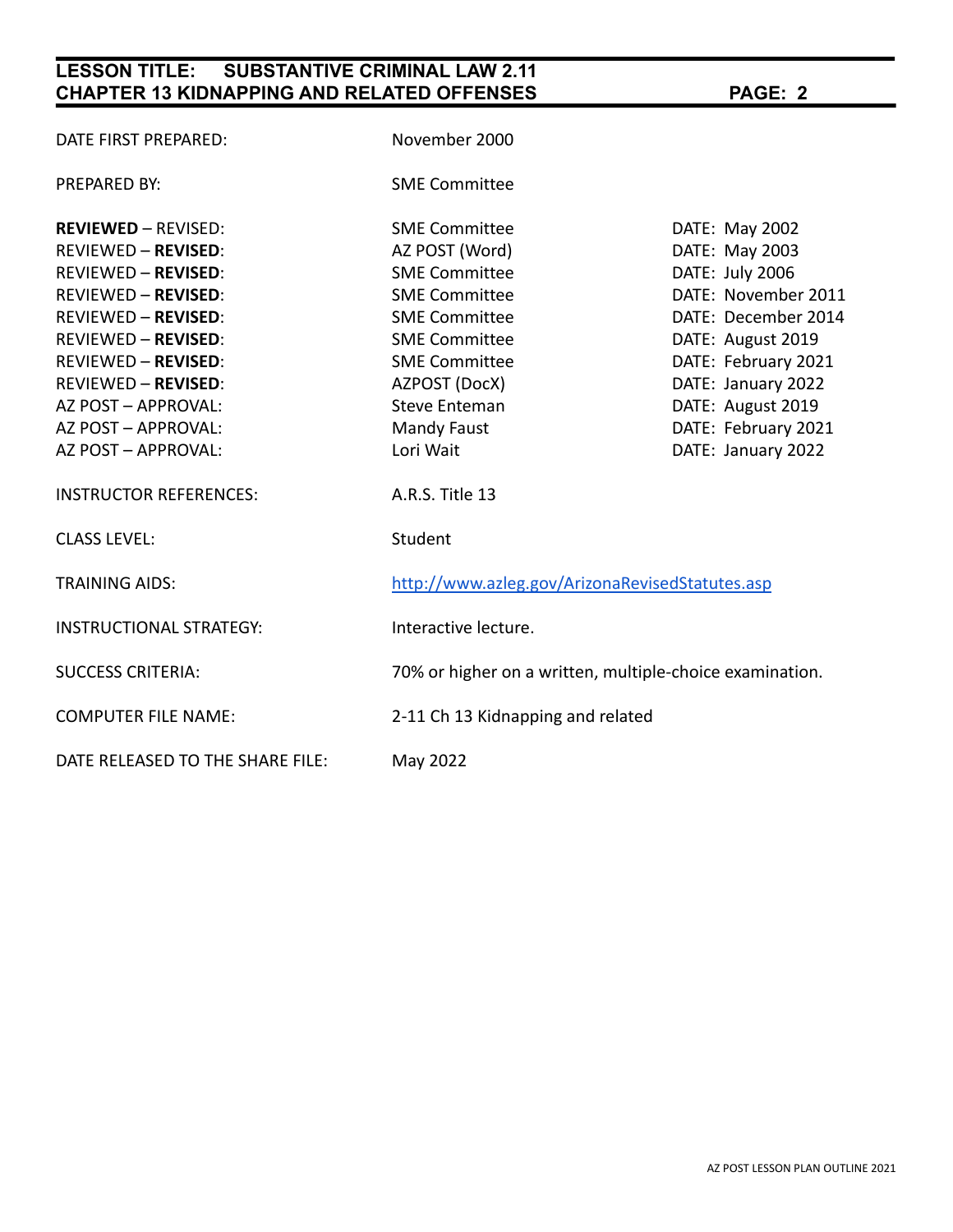# **LESSON TITLE: SUBSTANTIVE CRIMINAL LAW 2.11 CHAPTER 13 KIDNAPPING AND RELATED OFFENSES PAGE: 2**

| DATE FIRST PREPARED:             | November 2000                                            |                     |
|----------------------------------|----------------------------------------------------------|---------------------|
| PREPARED BY:                     | <b>SME Committee</b>                                     |                     |
| <b>REVIEWED - REVISED:</b>       | <b>SME Committee</b>                                     | DATE: May 2002      |
| <b>REVIEWED - REVISED:</b>       | AZ POST (Word)                                           | DATE: May 2003      |
| <b>REVIEWED - REVISED:</b>       | <b>SME Committee</b>                                     | DATE: July 2006     |
| <b>REVIEWED - REVISED:</b>       | <b>SME Committee</b>                                     | DATE: November 2011 |
| <b>REVIEWED - REVISED:</b>       | <b>SME Committee</b>                                     | DATE: December 2014 |
| <b>REVIEWED - REVISED:</b>       | <b>SME Committee</b>                                     | DATE: August 2019   |
| <b>REVIEWED - REVISED:</b>       | <b>SME Committee</b>                                     | DATE: February 2021 |
| <b>REVIEWED - REVISED:</b>       | AZPOST (DocX)                                            | DATE: January 2022  |
| AZ POST - APPROVAL:              | <b>Steve Enteman</b>                                     | DATE: August 2019   |
| AZ POST - APPROVAL:              | <b>Mandy Faust</b>                                       | DATE: February 2021 |
| AZ POST - APPROVAL:              | Lori Wait                                                | DATE: January 2022  |
| <b>INSTRUCTOR REFERENCES:</b>    | A.R.S. Title 13                                          |                     |
| <b>CLASS LEVEL:</b>              | Student                                                  |                     |
| <b>TRAINING AIDS:</b>            | http://www.azleg.gov/ArizonaRevisedStatutes.asp          |                     |
| <b>INSTRUCTIONAL STRATEGY:</b>   | Interactive lecture.                                     |                     |
| <b>SUCCESS CRITERIA:</b>         | 70% or higher on a written, multiple-choice examination. |                     |
| <b>COMPUTER FILE NAME:</b>       | 2-11 Ch 13 Kidnapping and related                        |                     |
| DATE RELEASED TO THE SHARE FILE: | May 2022                                                 |                     |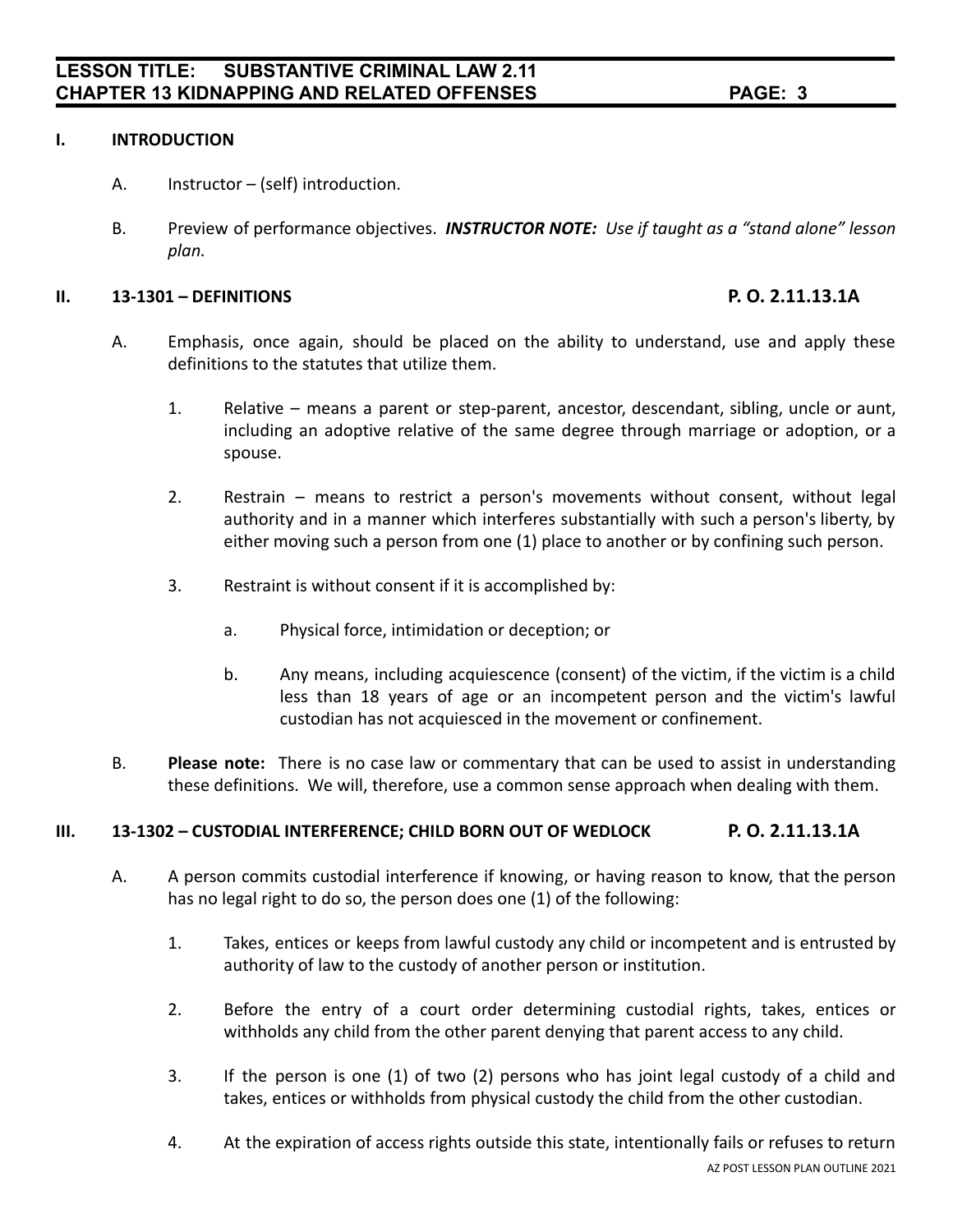# **I. INTRODUCTION**

- A. Instructor (self) introduction.
- B. Preview of performance objectives. *INSTRUCTOR NOTE: Use if taught as a "stand alone" lesson plan.*

## **II. 13-1301 – DEFINITIONS P. O. 2.11.13.1A**

- A. Emphasis, once again, should be placed on the ability to understand, use and apply these definitions to the statutes that utilize them.
	- 1. Relative means a parent or step-parent, ancestor, descendant, sibling, uncle or aunt, including an adoptive relative of the same degree through marriage or adoption, or a spouse.
	- 2. Restrain means to restrict a person's movements without consent, without legal authority and in a manner which interferes substantially with such a person's liberty, by either moving such a person from one (1) place to another or by confining such person.
	- 3. Restraint is without consent if it is accomplished by:
		- a. Physical force, intimidation or deception; or
		- b. Any means, including acquiescence (consent) of the victim, if the victim is a child less than 18 years of age or an incompetent person and the victim's lawful custodian has not acquiesced in the movement or confinement.
- B. **Please note:** There is no case law or commentary that can be used to assist in understanding these definitions. We will, therefore, use a common sense approach when dealing with them.

# **III. 13-1302 – CUSTODIAL INTERFERENCE; CHILD BORN OUT OF WEDLOCK P. O. 2.11.13.1A**

- A. A person commits custodial interference if knowing, or having reason to know, that the person has no legal right to do so, the person does one (1) of the following:
	- 1. Takes, entices or keeps from lawful custody any child or incompetent and is entrusted by authority of law to the custody of another person or institution.
	- 2. Before the entry of a court order determining custodial rights, takes, entices or withholds any child from the other parent denying that parent access to any child.
	- 3. If the person is one (1) of two (2) persons who has joint legal custody of a child and takes, entices or withholds from physical custody the child from the other custodian.
	- 4. At the expiration of access rights outside this state, intentionally fails or refuses to return AZ POST LESSON PLAN OUTLINE 2021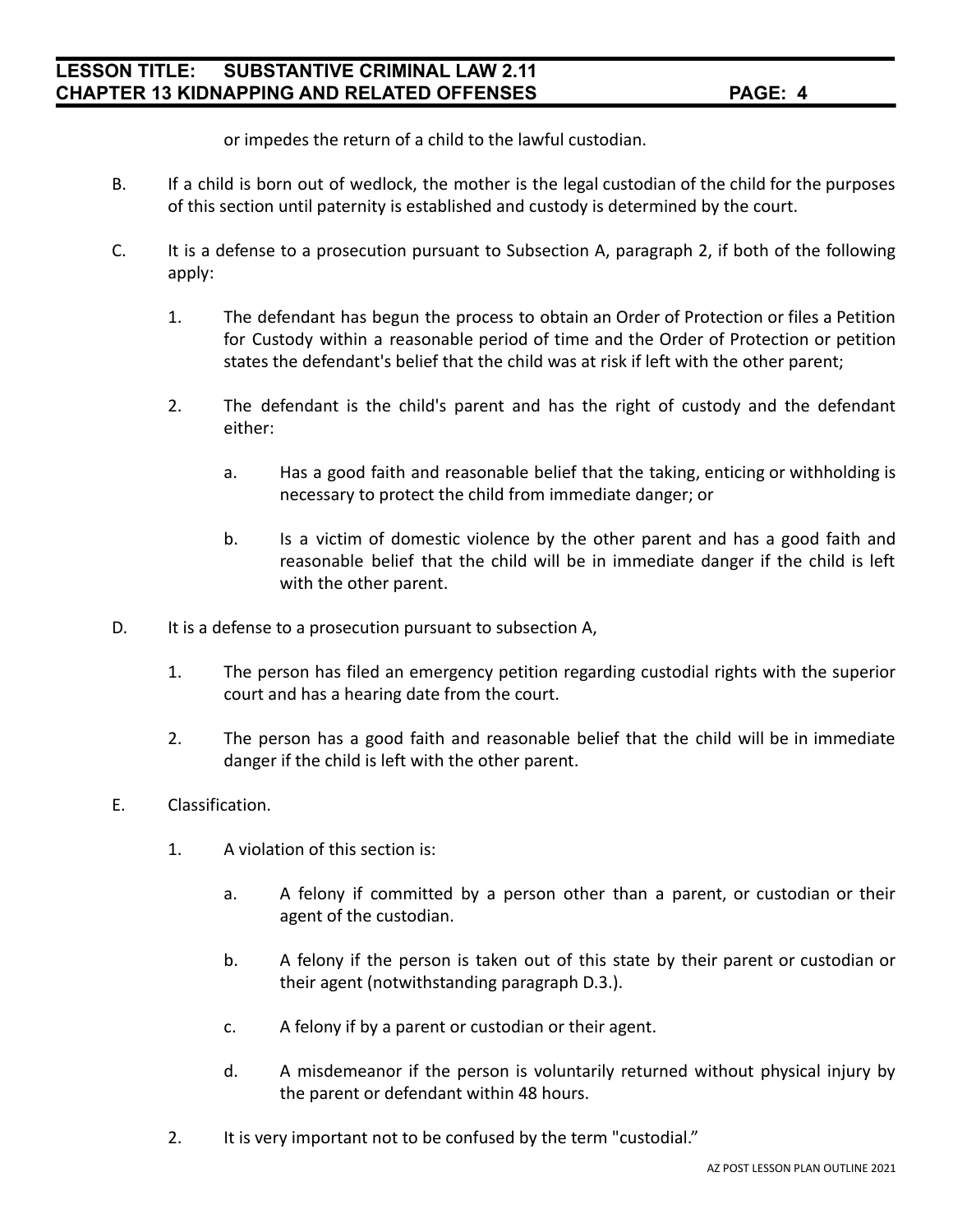# **LESSON TITLE: SUBSTANTIVE CRIMINAL LAW 2.11 CHAPTER 13 KIDNAPPING AND RELATED OFFENSES PAGE: 4**

or impedes the return of a child to the lawful custodian.

- B. If a child is born out of wedlock, the mother is the legal custodian of the child for the purposes of this section until paternity is established and custody is determined by the court.
- C. It is a defense to a prosecution pursuant to Subsection A, paragraph 2, if both of the following apply:
	- 1. The defendant has begun the process to obtain an Order of Protection or files a Petition for Custody within a reasonable period of time and the Order of Protection or petition states the defendant's belief that the child was at risk if left with the other parent;
	- 2. The defendant is the child's parent and has the right of custody and the defendant either:
		- a. Has a good faith and reasonable belief that the taking, enticing or withholding is necessary to protect the child from immediate danger; or
		- b. Is a victim of domestic violence by the other parent and has a good faith and reasonable belief that the child will be in immediate danger if the child is left with the other parent.
- D. It is a defense to a prosecution pursuant to subsection A,
	- 1. The person has filed an emergency petition regarding custodial rights with the superior court and has a hearing date from the court.
	- 2. The person has a good faith and reasonable belief that the child will be in immediate danger if the child is left with the other parent.
- E. Classification.
	- 1. A violation of this section is:
		- a. A felony if committed by a person other than a parent, or custodian or their agent of the custodian.
		- b. A felony if the person is taken out of this state by their parent or custodian or their agent (notwithstanding paragraph D.3.).
		- c. A felony if by a parent or custodian or their agent.
		- d. A misdemeanor if the person is voluntarily returned without physical injury by the parent or defendant within 48 hours.
	- 2. It is very important not to be confused by the term "custodial."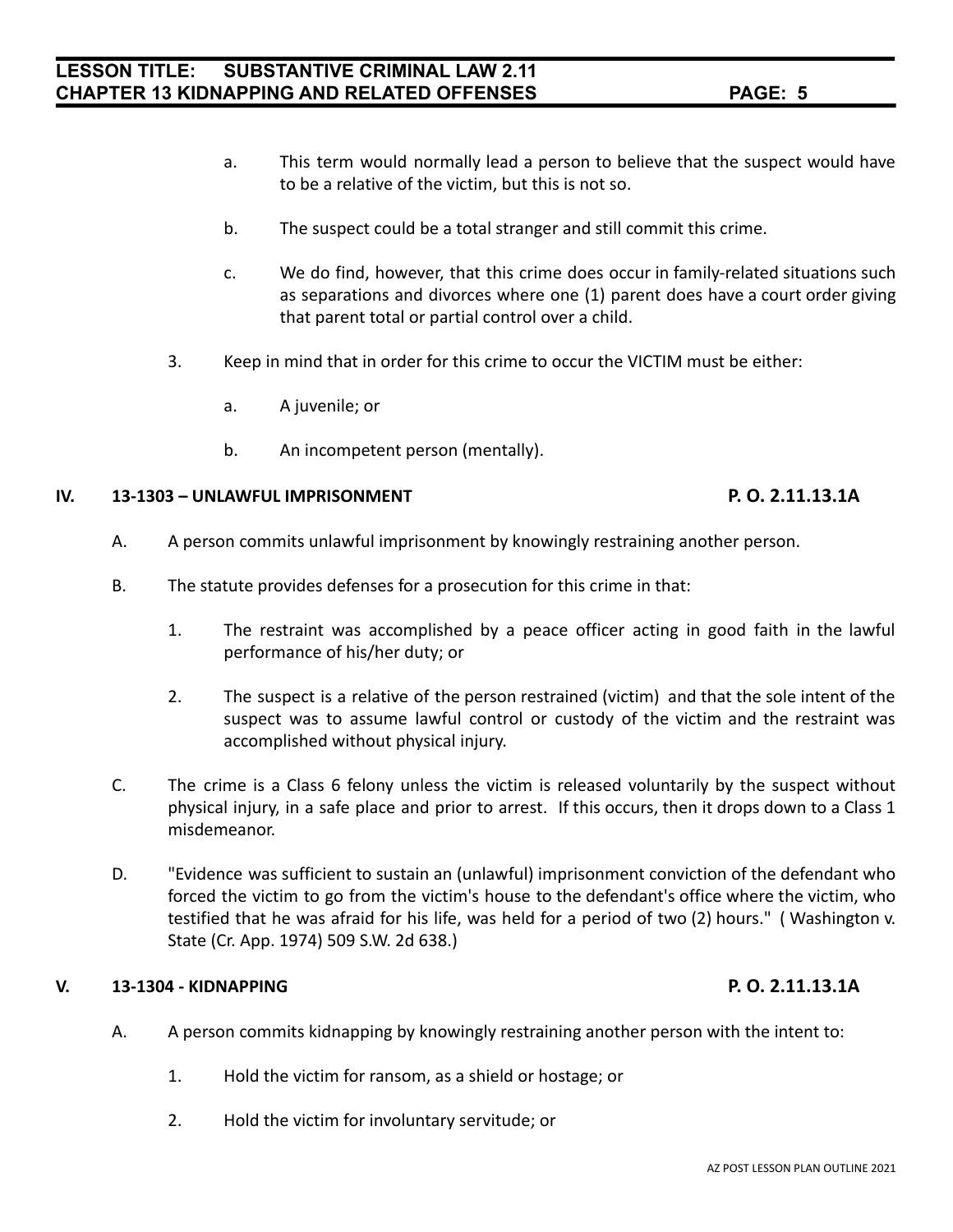- a. This term would normally lead a person to believe that the suspect would have to be a relative of the victim, but this is not so.
- b. The suspect could be a total stranger and still commit this crime.
- c. We do find, however, that this crime does occur in family-related situations such as separations and divorces where one (1) parent does have a court order giving that parent total or partial control over a child.
- 3. Keep in mind that in order for this crime to occur the VICTIM must be either:
	- a. A juvenile; or
	- b. An incompetent person (mentally).

## **IV. 13-1303 – UNLAWFUL IMPRISONMENT P. O. 2.11.13.1A**

- A. A person commits unlawful imprisonment by knowingly restraining another person.
- B. The statute provides defenses for a prosecution for this crime in that:
	- 1. The restraint was accomplished by a peace officer acting in good faith in the lawful performance of his/her duty; or
	- 2. The suspect is a relative of the person restrained (victim) and that the sole intent of the suspect was to assume lawful control or custody of the victim and the restraint was accomplished without physical injury.
- C. The crime is a Class 6 felony unless the victim is released voluntarily by the suspect without physical injury, in a safe place and prior to arrest. If this occurs, then it drops down to a Class 1 misdemeanor.
- D. "Evidence was sufficient to sustain an (unlawful) imprisonment conviction of the defendant who forced the victim to go from the victim's house to the defendant's office where the victim, who testified that he was afraid for his life, was held for a period of two (2) hours." ( Washington v. State (Cr. App. 1974) 509 S.W. 2d 638.)

# **V. 13-1304 - KIDNAPPING P. O. 2.11.13.1A**

- A. A person commits kidnapping by knowingly restraining another person with the intent to:
	- 1. Hold the victim for ransom, as a shield or hostage; or
	- 2. Hold the victim for involuntary servitude; or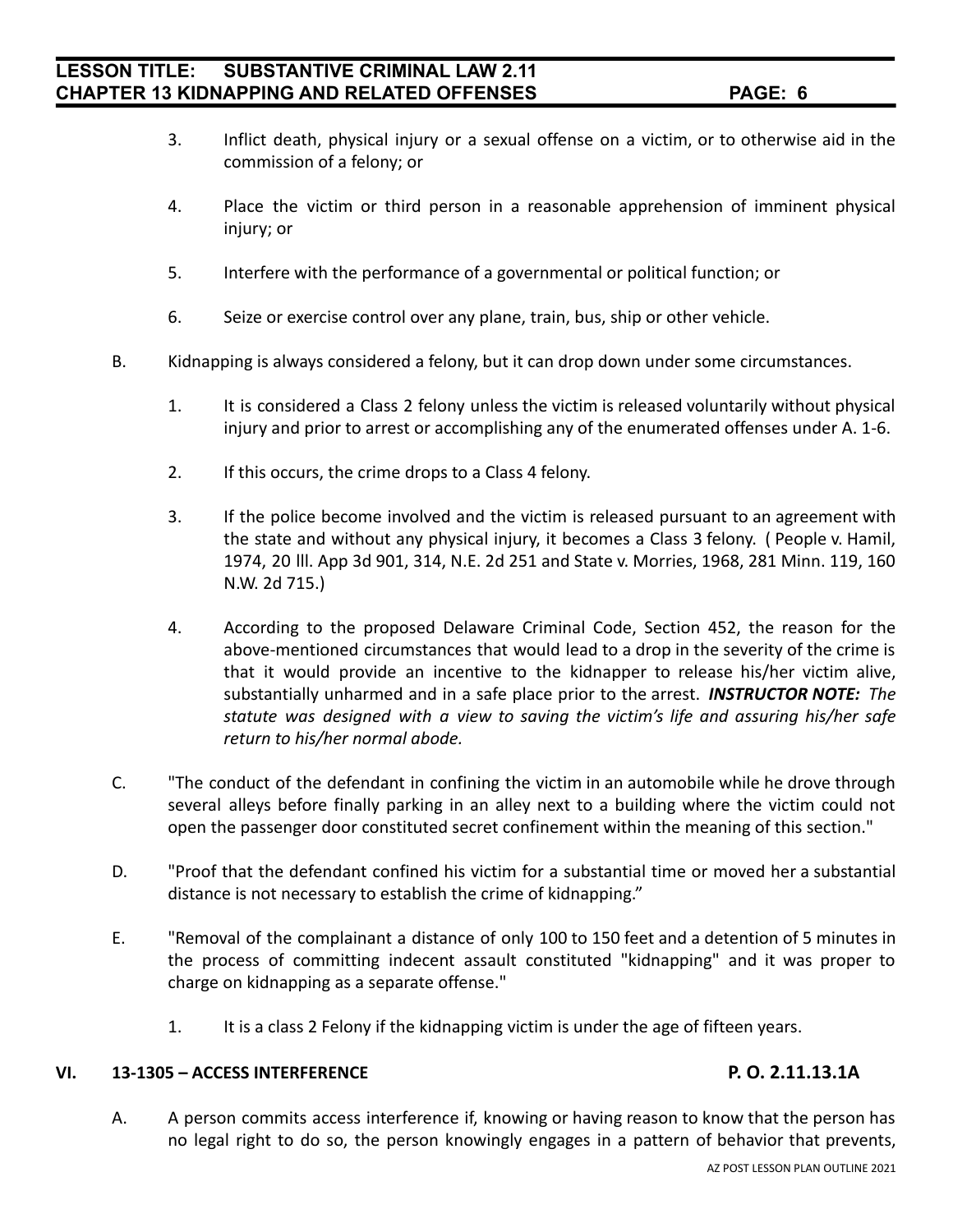- 3. Inflict death, physical injury or a sexual offense on a victim, or to otherwise aid in the commission of a felony; or
- 4. Place the victim or third person in a reasonable apprehension of imminent physical injury; or
- 5. Interfere with the performance of a governmental or political function; or
- 6. Seize or exercise control over any plane, train, bus, ship or other vehicle.
- B. Kidnapping is always considered a felony, but it can drop down under some circumstances.
	- 1. It is considered a Class 2 felony unless the victim is released voluntarily without physical injury and prior to arrest or accomplishing any of the enumerated offenses under A. 1-6.
	- 2. If this occurs, the crime drops to a Class 4 felony.
	- 3. If the police become involved and the victim is released pursuant to an agreement with the state and without any physical injury, it becomes a Class 3 felony. ( People v. Hamil, 1974, 20 lll. App 3d 901, 314, N.E. 2d 251 and State v. Morries, 1968, 281 Minn. 119, 160 N.W. 2d 715.)
	- 4. According to the proposed Delaware Criminal Code, Section 452, the reason for the above-mentioned circumstances that would lead to a drop in the severity of the crime is that it would provide an incentive to the kidnapper to release his/her victim alive, substantially unharmed and in a safe place prior to the arrest. *INSTRUCTOR NOTE: The statute was designed with a view to saving the victim's life and assuring his/her safe return to his/her normal abode.*
- C. "The conduct of the defendant in confining the victim in an automobile while he drove through several alleys before finally parking in an alley next to a building where the victim could not open the passenger door constituted secret confinement within the meaning of this section."
- D. "Proof that the defendant confined his victim for a substantial time or moved her a substantial distance is not necessary to establish the crime of kidnapping."
- E. "Removal of the complainant a distance of only 100 to 150 feet and a detention of 5 minutes in the process of committing indecent assault constituted "kidnapping" and it was proper to charge on kidnapping as a separate offense."
	- 1. It is a class 2 Felony if the kidnapping victim is under the age of fifteen years.

# **VI. 13-1305 – ACCESS INTERFERENCE P. O. 2.11.13.1A**

A. A person commits access interference if, knowing or having reason to know that the person has no legal right to do so, the person knowingly engages in a pattern of behavior that prevents,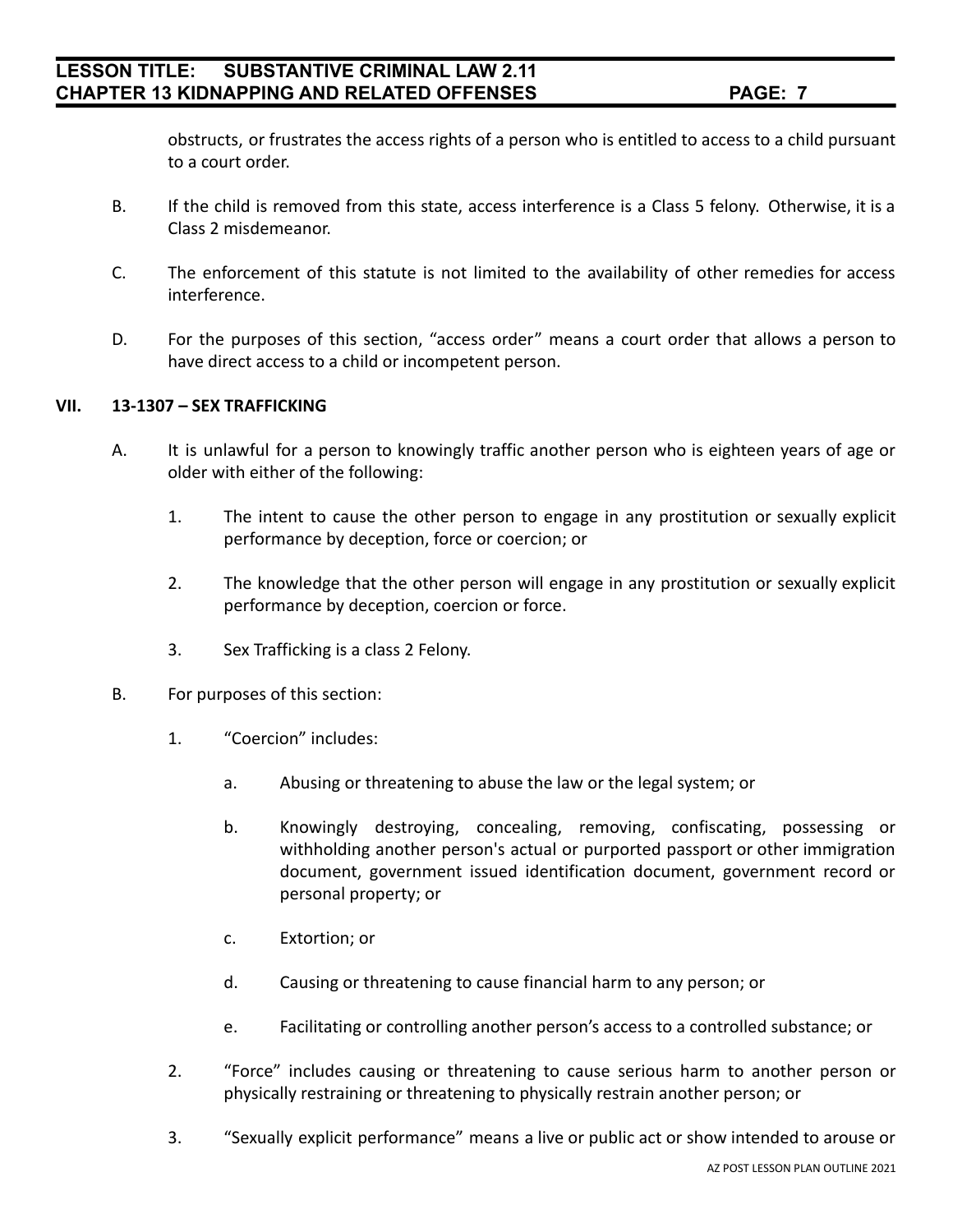obstructs, or frustrates the access rights of a person who is entitled to access to a child pursuant to a court order.

- B. If the child is removed from this state, access interference is a Class 5 felony. Otherwise, it is a Class 2 misdemeanor.
- C. The enforcement of this statute is not limited to the availability of other remedies for access interference.
- D. For the purposes of this section, "access order" means a court order that allows a person to have direct access to a child or incompetent person.

## **VII. 13-1307 – SEX TRAFFICKING**

- A. It is unlawful for a person to knowingly traffic another person who is eighteen years of age or older with either of the following:
	- 1. The intent to cause the other person to engage in any prostitution or sexually explicit performance by deception, force or coercion; or
	- 2. The knowledge that the other person will engage in any prostitution or sexually explicit performance by deception, coercion or force.
	- 3. Sex Trafficking is a class 2 Felony.
- B. For purposes of this section:
	- 1. "Coercion" includes:
		- a. Abusing or threatening to abuse the law or the legal system; or
		- b. Knowingly destroying, concealing, removing, confiscating, possessing or withholding another person's actual or purported passport or other immigration document, government issued identification document, government record or personal property; or
		- c. Extortion; or
		- d. Causing or threatening to cause financial harm to any person; or
		- e. Facilitating or controlling another person's access to a controlled substance; or
	- 2. "Force" includes causing or threatening to cause serious harm to another person or physically restraining or threatening to physically restrain another person; or
	- 3. "Sexually explicit performance" means a live or public act or show intended to arouse or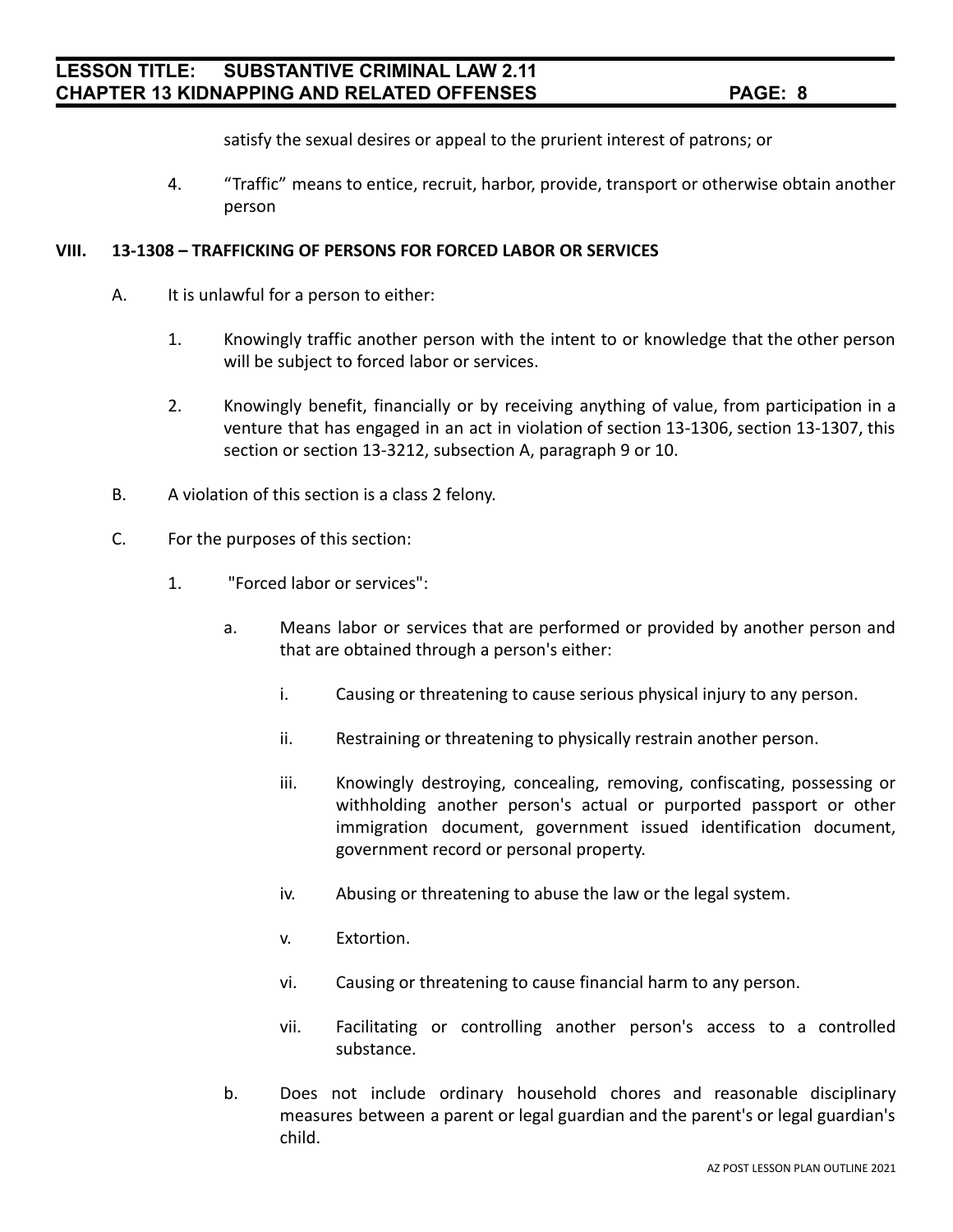satisfy the sexual desires or appeal to the prurient interest of patrons; or

4. "Traffic" means to entice, recruit, harbor, provide, transport or otherwise obtain another person

### **VIII. 13-1308 – TRAFFICKING OF PERSONS FOR FORCED LABOR OR SERVICES**

- A. It is unlawful for a person to either:
	- 1. Knowingly traffic another person with the intent to or knowledge that the other person will be subject to forced labor or services.
	- 2. Knowingly benefit, financially or by receiving anything of value, from participation in a venture that has engaged in an act in violation of section 13-1306, section 13-1307, this section or section 13-3212, subsection A, paragraph 9 or 10.
- B. A violation of this section is a class 2 felony.
- C. For the purposes of this section:
	- 1. "Forced labor or services":
		- a. Means labor or services that are performed or provided by another person and that are obtained through a person's either:
			- i. Causing or threatening to cause serious physical injury to any person.
			- ii. Restraining or threatening to physically restrain another person.
			- iii. Knowingly destroying, concealing, removing, confiscating, possessing or withholding another person's actual or purported passport or other immigration document, government issued identification document, government record or personal property.
			- iv. Abusing or threatening to abuse the law or the legal system.
			- v. Extortion.
			- vi. Causing or threatening to cause financial harm to any person.
			- vii. Facilitating or controlling another person's access to a controlled substance.
		- b. Does not include ordinary household chores and reasonable disciplinary measures between a parent or legal guardian and the parent's or legal guardian's child.